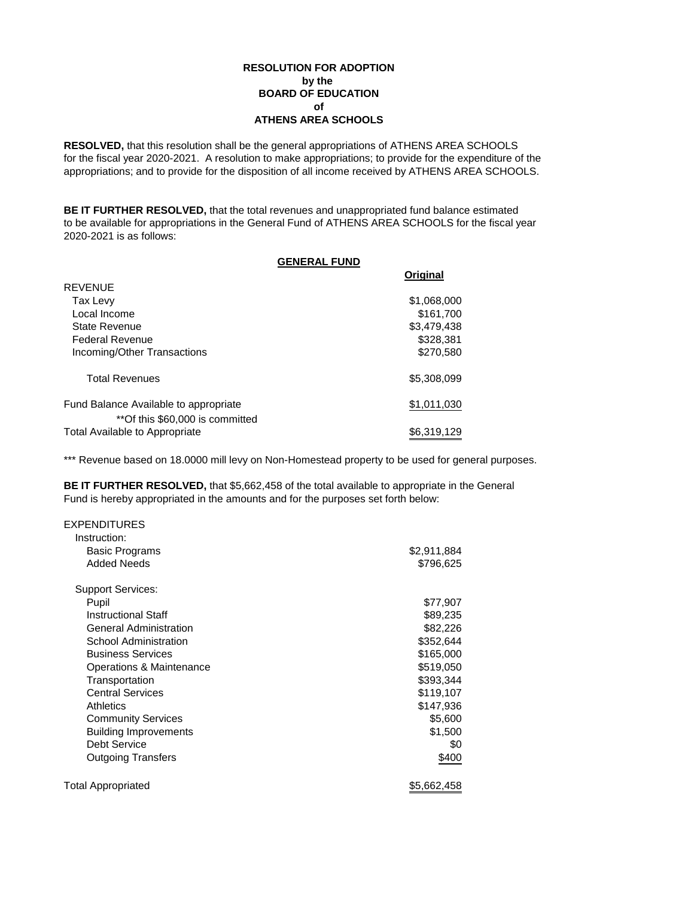### **RESOLUTION FOR ADOPTION by the BOARD OF EDUCATION of ATHENS AREA SCHOOLS**

**RESOLVED,** that this resolution shall be the general appropriations of ATHENS AREA SCHOOLS for the fiscal year 2020-2021. A resolution to make appropriations; to provide for the expenditure of the appropriations; and to provide for the disposition of all income received by ATHENS AREA SCHOOLS.

**BE IT FURTHER RESOLVED,** that the total revenues and unappropriated fund balance estimated to be available for appropriations in the General Fund of ATHENS AREA SCHOOLS for the fiscal year 2020-2021 is as follows:

|                                       | <b>GENERAL FUND</b> |             |
|---------------------------------------|---------------------|-------------|
|                                       |                     | Original    |
| <b>REVENUE</b>                        |                     |             |
| Tax Levy                              |                     | \$1,068,000 |
| Local Income                          |                     | \$161.700   |
| <b>State Revenue</b>                  |                     | \$3.479.438 |
| Federal Revenue                       |                     | \$328,381   |
| Incoming/Other Transactions           |                     | \$270,580   |
| <b>Total Revenues</b>                 |                     | \$5,308,099 |
| Fund Balance Available to appropriate |                     | \$1,011,030 |
| **Of this \$60,000 is committed       |                     |             |
| Total Available to Appropriate        |                     | \$6.319.129 |

\*\*\* Revenue based on 18.0000 mill levy on Non-Homestead property to be used for general purposes.

**BE IT FURTHER RESOLVED,** that \$5,662,458 of the total available to appropriate in the General Fund is hereby appropriated in the amounts and for the purposes set forth below:

| <b>EXPENDITURES</b>           |             |
|-------------------------------|-------------|
| Instruction:                  |             |
| <b>Basic Programs</b>         | \$2,911,884 |
| Added Needs                   | \$796,625   |
| <b>Support Services:</b>      |             |
| Pupil                         | \$77,907    |
| <b>Instructional Staff</b>    | \$89,235    |
| <b>General Administration</b> | \$82,226    |
| School Administration         | \$352,644   |
| <b>Business Services</b>      | \$165,000   |
| Operations & Maintenance      | \$519,050   |
| Transportation                | \$393,344   |
| <b>Central Services</b>       | \$119,107   |
| Athletics                     | \$147,936   |
| <b>Community Services</b>     | \$5,600     |
| <b>Building Improvements</b>  | \$1,500     |
| Debt Service                  | \$0         |
| <b>Outgoing Transfers</b>     | \$400       |
| Total Appropriated            | \$5,662,458 |
|                               |             |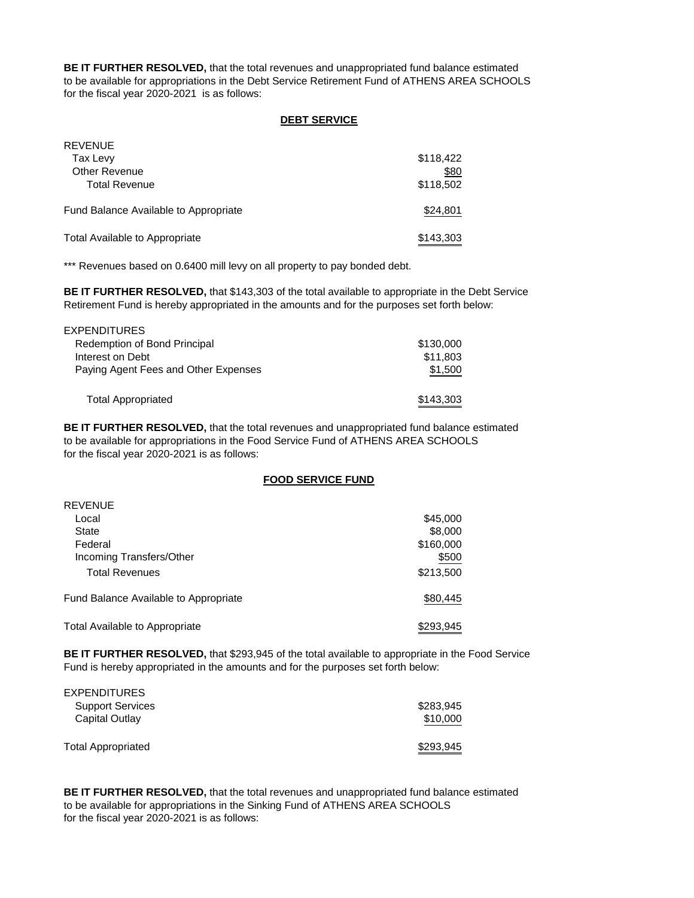**BE IT FURTHER RESOLVED,** that the total revenues and unappropriated fund balance estimated to be available for appropriations in the Debt Service Retirement Fund of ATHENS AREA SCHOOLS for the fiscal year 2020-2021 is as follows:

### **DEBT SERVICE**

| <b>REVENUE</b>                        |           |
|---------------------------------------|-----------|
| Tax Levy                              | \$118,422 |
| <b>Other Revenue</b>                  | \$80      |
| <b>Total Revenue</b>                  | \$118,502 |
|                                       |           |
| Fund Balance Available to Appropriate | \$24,801  |
|                                       |           |
| Total Available to Appropriate        | \$143,303 |

\*\*\* Revenues based on 0.6400 mill levy on all property to pay bonded debt.

**BE IT FURTHER RESOLVED,** that \$143,303 of the total available to appropriate in the Debt Service Retirement Fund is hereby appropriated in the amounts and for the purposes set forth below:

| <b>EXPENDITURES</b>                  |           |
|--------------------------------------|-----------|
| Redemption of Bond Principal         | \$130,000 |
| Interest on Debt                     | \$11,803  |
| Paying Agent Fees and Other Expenses | \$1,500   |
|                                      |           |
| <b>Total Appropriated</b>            | \$143,303 |
|                                      |           |

**BE IT FURTHER RESOLVED,** that the total revenues and unappropriated fund balance estimated to be available for appropriations in the Food Service Fund of ATHENS AREA SCHOOLS for the fiscal year 2020-2021 is as follows:

### **FOOD SERVICE FUND**

| <b>REVENUE</b>                        |           |
|---------------------------------------|-----------|
| Local                                 | \$45,000  |
| State                                 | \$8,000   |
| Federal                               | \$160,000 |
| Incoming Transfers/Other              | \$500     |
| <b>Total Revenues</b>                 | \$213,500 |
| Fund Balance Available to Appropriate | \$80,445  |
| Total Available to Appropriate        | \$293,945 |

**BE IT FURTHER RESOLVED,** that \$293,945 of the total available to appropriate in the Food Service Fund is hereby appropriated in the amounts and for the purposes set forth below:

| <b>EXPENDITURES</b>       |           |
|---------------------------|-----------|
| <b>Support Services</b>   | \$283,945 |
| Capital Outlay            | \$10,000  |
| <b>Total Appropriated</b> | \$293,945 |

**BE IT FURTHER RESOLVED,** that the total revenues and unappropriated fund balance estimated to be available for appropriations in the Sinking Fund of ATHENS AREA SCHOOLS for the fiscal year 2020-2021 is as follows: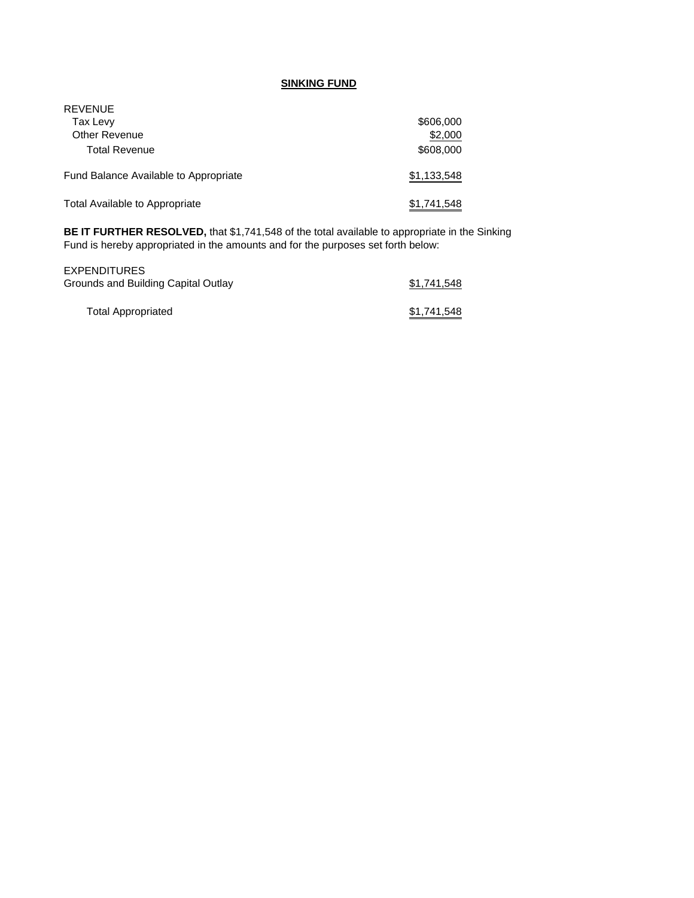# **SINKING FUND**

| <b>REVENUE</b><br>Tax Levy<br>Other Revenue<br><b>Total Revenue</b> | \$606,000<br>\$2,000<br>\$608,000 |
|---------------------------------------------------------------------|-----------------------------------|
| Fund Balance Available to Appropriate                               | \$1,133,548                       |
| Total Available to Appropriate                                      | \$1,741,548                       |

**BE IT FURTHER RESOLVED,** that \$1,741,548 of the total available to appropriate in the Sinking Fund is hereby appropriated in the amounts and for the purposes set forth below:

| EXPENDITURES                        |             |
|-------------------------------------|-------------|
| Grounds and Building Capital Outlay | \$1,741,548 |
| <b>Total Appropriated</b>           | \$1,741,548 |